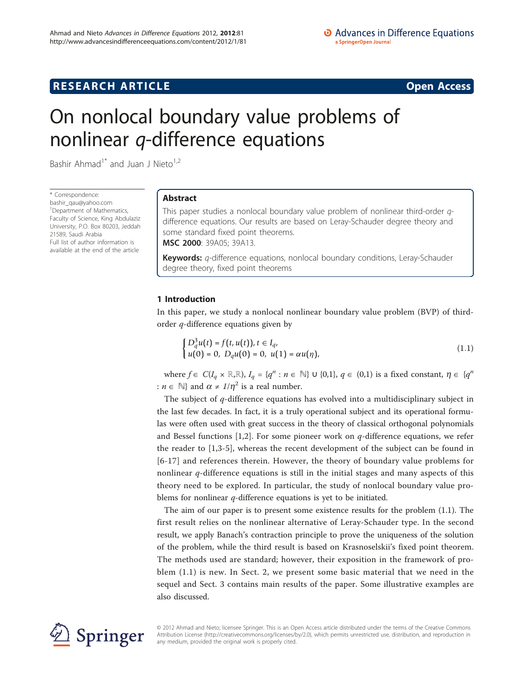# **RESEARCH ARTICLE Example 2018 12:00 Department of the CONNECTION CONNECTION CONNECTION CONNECTION**

# On nonlocal boundary value problems of nonlinear q-difference equations

Bashir Ahmad<sup>1\*</sup> and Juan J Nieto<sup>1,2</sup>

\* Correspondence: [bashir\\_qau@yahoo.com](mailto:bashir_qau@yahoo.com) <sup>1</sup> Department of Mathematics, Faculty of Science, King Abdulaziz University, P.O. Box 80203, Jeddah 21589, Saudi Arabia Full list of author information is available at the end of the article

# Abstract

This paper studies a nonlocal boundary value problem of nonlinear third-order qdifference equations. Our results are based on Leray-Schauder degree theory and some standard fixed point theorems.

MSC 2000: 39A05; 39A13.

Keywords: *q*-difference equations, nonlocal boundary conditions, Leray-Schauder degree theory, fixed point theorems

# 1 Introduction

In this paper, we study a nonlocal nonlinear boundary value problem (BVP) of thirdorder q-difference equations given by

$$
\begin{cases} D_q^3 u(t) = f(t, u(t)), t \in I_q, \\ u(0) = 0, \ D_q u(0) = 0, \ u(1) = \alpha u(\eta), \end{cases}
$$
 (1.1)

where  $f \in C(I_q \times \mathbb{R}, \mathbb{R})$ ,  $I_q = \{q^n : n \in \mathbb{N}\}\cup \{0,1\}$ ,  $q \in (0,1)$  is a fixed constant,  $\eta \in \{q^n\}$ :  $n \in \mathbb{N}$  and  $\alpha \neq 1/\eta^2$  is a real number.

The subject of q-difference equations has evolved into a multidisciplinary subject in the last few decades. In fact, it is a truly operational subject and its operational formulas were often used with great success in the theory of classical orthogonal polynomials and Bessel functions  $[1,2]$  $[1,2]$ . For some pioneer work on q-difference equations, we refer the reader to [\[1](#page-9-0),[3-5](#page-9-0)], whereas the recent development of the subject can be found in [[6](#page-9-0)-[17](#page-9-0)] and references therein. However, the theory of boundary value problems for nonlinear q-difference equations is still in the initial stages and many aspects of this theory need to be explored. In particular, the study of nonlocal boundary value problems for nonlinear  $q$ -difference equations is yet to be initiated.

The aim of our paper is to present some existence results for the problem (1.1). The first result relies on the nonlinear alternative of Leray-Schauder type. In the second result, we apply Banach's contraction principle to prove the uniqueness of the solution of the problem, while the third result is based on Krasnoselskii's fixed point theorem. The methods used are standard; however, their exposition in the framework of problem (1.1) is new. In Sect. 2, we present some basic material that we need in the sequel and Sect. 3 contains main results of the paper. Some illustrative examples are also discussed.



© 2012 Ahmad and Nieto; licensee Springer. This is an Open Access article distributed under the terms of the Creative Commons Attribution License [\(http://creativecommons.org/licenses/by/2.0](http://creativecommons.org/licenses/by/2.0)), which permits unrestricted use, distribution, and reproduction in any medium, provided the original work is properly cited.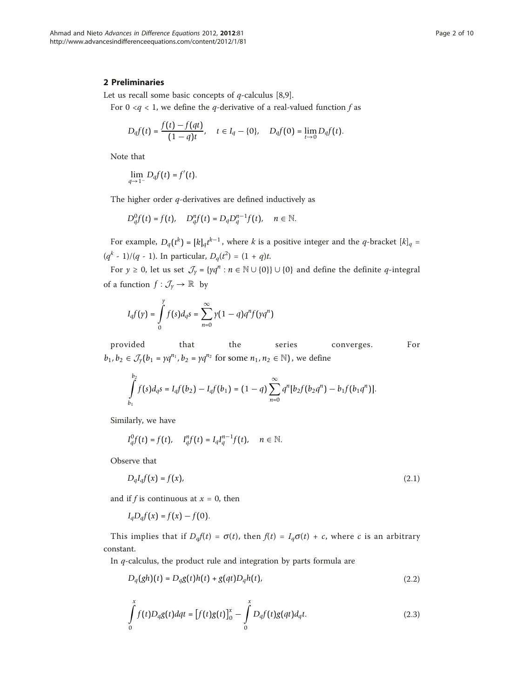### 2 Preliminaries

Let us recall some basic concepts of  $q$ -calculus [[8,9\]](#page-9-0).

For  $0 < q < 1$ , we define the q-derivative of a real-valued function f as

$$
D_q f(t) = \frac{f(t) - f(qt)}{(1 - q)t}, \quad t \in I_q - \{0\}, \quad D_q f(0) = \lim_{t \to 0} D_q f(t).
$$

Note that

$$
\lim_{q\to 1^-}D_qf(t)=f'(t).
$$

The higher order  $q$ -derivatives are defined inductively as

$$
D_q^0f(t)=f(t),\quad D_q^nf(t)=D_qD_q^{n-1}f(t),\quad n\in\mathbb{N}.
$$

For example,  $D_q(t^k) = [k]_q t^{k-1}$ , where k is a positive integer and the q-bracket  $[k]_q =$  $(q<sup>k</sup> - 1)/(q - 1)$ . In particular,  $D_q(t^2) = (1 + q)t$ .

For  $y \ge 0$ , let us set  $\mathcal{J}_y = \{yq^n : n \in \mathbb{N} \cup \{0\}\} \cup \{0\}$  and define the definite q-integral of a function  $f: \mathcal{J}_y \to \mathbb{R}$  by

$$
I_{q}f(y) = \int_{0}^{y} f(s)d_{q}s = \sum_{n=0}^{\infty} \gamma(1-q)q^{n}f(\gamma q^{n})
$$

provided that the series converges. For *b*<sub>1</sub>, *b*<sub>2</sub> ∈  $\mathcal{J}_y(b_1 = yq^{n_1}, b_2 = yq^{n_2}$  for some  $n_1, n_2 \in \mathbb{N}$ ), we define

$$
\int_{b_1}^{b_2} f(s) d_q s = I_q f(b_2) - I_q f(b_1) = (1-q) \sum_{n=0}^{\infty} q^n [b_2 f(b_2 q^n) - b_1 f(b_1 q^n)].
$$

Similarly, we have

$$
I_q^0f(t)=f(t),\quad I_q^n f(t)=I_q I_q^{n-1}f(t),\quad n\in\mathbb{N}.
$$

Observe that

$$
D_q I_q f(x) = f(x),\tag{2.1}
$$

and if f is continuous at  $x = 0$ , then

$$
I_q D_q f(x) = f(x) - f(0).
$$

This implies that if  $D_qf(t) = \sigma(t)$ , then  $f(t) = I_q\sigma(t) + c$ , where c is an arbitrary constant.

In  $q$ -calculus, the product rule and integration by parts formula are

$$
D_q(gh)(t) = D_qg(t)h(t) + g(qt)D_qh(t),
$$
\n(2.2)

$$
\int_{0}^{x} f(t)D_{q}g(t)dqt = [f(t)g(t)]_{0}^{x} - \int_{0}^{x} D_{q}f(t)g(qt)d_{q}t.
$$
\n(2.3)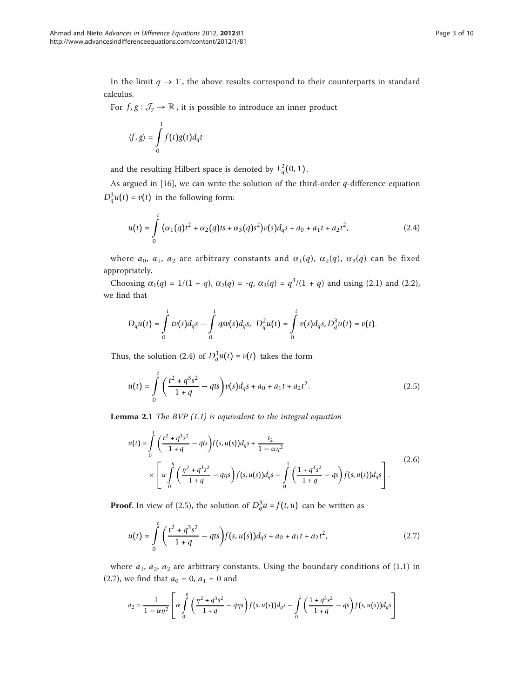In the limit  $q \to 1$ , the above results correspond to their counterparts in standard calculus.

For  $f, g: \mathcal{J}_y \to \mathbb{R}$ , it is possible to introduce an inner product

$$
\langle f, g \rangle = \int_{0}^{1} f(t)g(t)d_qt
$$

and the resulting Hilbert space is denoted by  $L_q^2(0,1)$ .

As argued in  $[16]$  $[16]$ , we can write the solution of the third-order q-difference equation  $D_q^3 u(t) = v(t)$  in the following form:

$$
u(t) = \int_{0}^{t} (\alpha_1(q)t^2 + \alpha_2(q)ts + \alpha_3(q)s^2)v(s)d_qs + a_0 + a_1t + a_2t^2,
$$
 (2.4)

where  $a_0$ ,  $a_1$ ,  $a_2$  are arbitrary constants and  $\alpha_1(q)$ ,  $\alpha_2(q)$ ,  $\alpha_3(q)$  can be fixed appropriately.

Choosing  $\alpha_1(q) = 1/(1 + q)$ ,  $\alpha_2(q) = -q$ ,  $\alpha_3(q) = q^3/(1 + q)$  and using (2.1) and (2.2), we find that

$$
D_q u(t) = \int\limits_0^t t v(s) d_q s - \int\limits_0^t q s v(s) d_q s, \ D_q^2 u(t) = \int\limits_0^t v(s) d_q s, D_q^3 u(t) = v(t).
$$

Thus, the solution (2.4) of  $D_q^3u(t) = v(t)$  takes the form

$$
u(t) = \int_{0}^{t} \left( \frac{t^2 + q^3 s^2}{1 + q} - q t s \right) v(s) d_q s + a_0 + a_1 t + a_2 t^2.
$$
 (2.5)

**Lemma 2.1** The BVP  $(1.1)$  is equivalent to the integral equation

$$
u(t) = \int_{0}^{t} \left( \frac{t^2 + q^3 s^2}{1 + q} - qts \right) f(s, u(s)) d_q s + \frac{t_2}{1 - \alpha \eta^2}
$$
  
 
$$
\times \left[ \alpha \int_{0}^{\eta} \left( \frac{\eta^2 + q^3 s^2}{1 + q} - q\eta s \right) f(s, u(s)) d_q s - \int_{0}^{1} \left( \frac{1 + q^3 s^2}{1 + q} - qs \right) f(s, u(s)) d_q s \right].
$$
 (2.6)

**Proof.** In view of (2.5), the solution of  $D_q^3 u = f(t, u)$  can be written as

$$
u(t) = \int_{0}^{t} \left( \frac{t^2 + q^3 s^2}{1 + q} - q t s \right) f(s, u(s)) d_q s + a_0 + a_1 t + a_2 t^2,
$$
 (2.7)

where  $a_1$ ,  $a_2$ ,  $a_2$  are arbitrary constants. Using the boundary conditions of (1.1) in (2.7), we find that  $a_0 = 0$ ,  $a_1 = 0$  and

$$
a_2 = \frac{1}{1 - \alpha \eta^2} \left[ \alpha \int_0^{\eta} \left( \frac{\eta^2 + q^3 s^2}{1 + q} - q \eta s \right) f(s, u(s)) d_q s - \int_0^1 \left( \frac{1 + q^3 s^2}{1 + q} - q s \right) f(s, u(s)) d_q s \right].
$$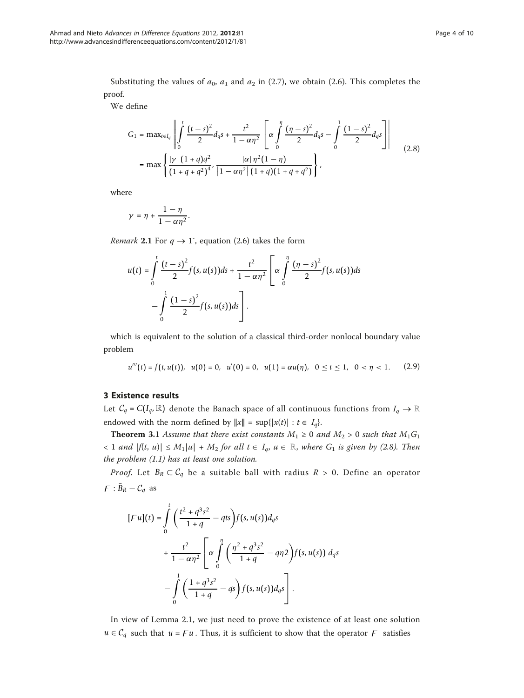Substituting the values of  $a_0$ ,  $a_1$  and  $a_2$  in (2.7), we obtain (2.6). This completes the proof.

We define

$$
G_1 = \max_{t \in I_q} \left\| \int_0^t \frac{(t-s)^2}{2} d_q s + \frac{t^2}{1-\alpha \eta^2} \left[ \alpha \int_0^{\eta} \frac{(\eta-s)^2}{2} d_q s - \int_0^1 \frac{(1-s)^2}{2} d_q s \right] \right\|
$$
  
=  $\max \left\{ \frac{|\gamma| (1+q) q^2}{(1+q+q^2)^4}, \frac{|\alpha| \eta^2 (1-\eta)}{|1-\alpha \eta^2| (1+q) (1+q+q^2)} \right\},$  (2.8)

where

$$
\gamma = \eta + \frac{1-\eta}{1-\alpha\eta^2}.
$$

*Remark* 2.1 For  $q \rightarrow 1$ <sup>-</sup>, equation (2.6) takes the form

$$
u(t) = \int_0^t \frac{(t-s)^2}{2} f(s, u(s)) ds + \frac{t^2}{1 - \alpha \eta^2} \left[ \alpha \int_0^{\eta} \frac{(\eta - s)^2}{2} f(s, u(s)) ds - \int_0^1 \frac{(1 - s)^2}{2} f(s, u(s)) ds \right].
$$

which is equivalent to the solution of a classical third-order nonlocal boundary value problem

$$
u'''(t) = f(t, u(t)), \quad u(0) = 0, \quad u'(0) = 0, \quad u(1) = \alpha u(\eta), \quad 0 \le t \le 1, \quad 0 < \eta < 1. \tag{2.9}
$$

## 3 Existence results

Let  $C_q = C(I_q, \mathbb{R})$  denote the Banach space of all continuous functions from  $I_q \to \mathbb{R}$ endowed with the norm defined by  $||x|| = \sup\{|x(t)| : t \in I_q\}.$ 

**Theorem 3.1** Assume that there exist constants  $M_1 \ge 0$  and  $M_2 > 0$  such that  $M_1G_1$  $\langle 1 \text{ and } |f(t, u)| \leq M_1 |u| + M_2 \text{ for all } t \in I_q, u \in \mathbb{R}, \text{ where } G_1 \text{ is given by (2.8). Then}$ the problem (1.1) has at least one solution.

*Proof.* Let  $B_R \subset C_q$  be a suitable ball with radius  $R > 0$ . Define an operator  $F: \bar{B}_R - C_q$  as

$$
[Fu](t) = \int_{0}^{t} \left( \frac{t^2 + q^3 s^2}{1 + q} - qts \right) f(s, u(s)) d_q s
$$
  
+ 
$$
\frac{t^2}{1 - \alpha \eta^2} \left[ \alpha \int_{0}^{\eta} \left( \frac{\eta^2 + q^3 s^2}{1 + q} - q\eta 2 \right) f(s, u(s)) d_q s
$$
  
- 
$$
\int_{0}^{1} \left( \frac{1 + q^3 s^2}{1 + q} - qs \right) f(s, u(s)) d_q s
$$

In view of Lemma 2.1, we just need to prove the existence of at least one solution *u* ∈  $C_q$  such that *u* =  $Fu$ . Thus, it is sufficient to show that the operator  $F$  satisfies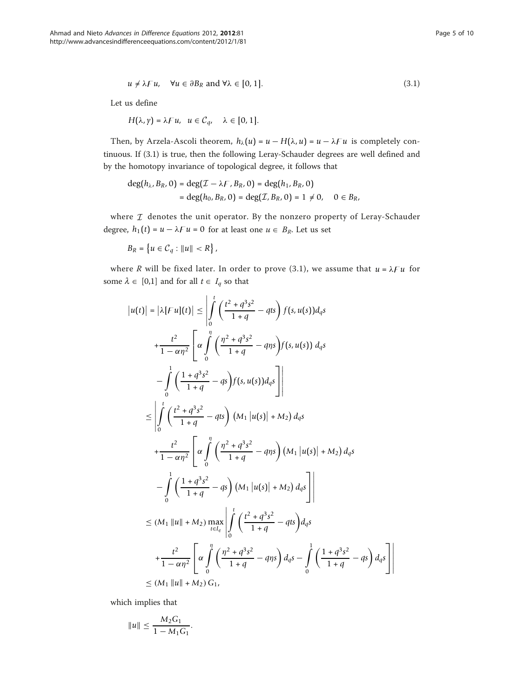$$
u \neq \lambda F u, \quad \forall u \in \partial B_R \text{ and } \forall \lambda \in [0, 1]. \tag{3.1}
$$

Let us define

$$
H\big(\lambda,\gamma\big)=\lambda F u,\;\; u\in \mathcal{C}_q,\quad \lambda\in [0,1].
$$

Then, by Arzela-Ascoli theorem,  $h_{\lambda}(u) = u - H(\lambda, u) = u - \lambda F u$  is completely continuous. If (3.1) is true, then the following Leray-Schauder degrees are well defined and by the homotopy invariance of topological degree, it follows that

$$
deg(h_{\lambda}, B_R, 0) = deg(\mathcal{I} - \lambda F, B_R, 0) = deg(h_1, B_R, 0)
$$
  
= deg(h<sub>0</sub>, B<sub>R</sub>, 0) = deg(\mathcal{I}, B\_R, 0) = 1 \neq 0, 0 \in B\_R,

where  $I$  denotes the unit operator. By the nonzero property of Leray-Schauder degree,  $h_1(t) = u - \lambda F u = 0$  for at least one  $u \in B_R$ . Let us set

 $B_R = \{ u \in C_q : ||u|| < R \},\$ 

where R will be fixed later. In order to prove (3.1), we assume that  $u = \lambda F u$  for some  $\lambda \in [0,1]$  and for all  $t \in I_q$  so that

$$
|u(t)| = |\lambda[Fu](t)| \leq \int_{0}^{t} \left(\frac{t^2 + q^3 s^2}{1 + q} - qts\right) f(s, u(s)) d_q s
$$
  
+ 
$$
\frac{t^2}{1 - \alpha \eta^2} \left[\alpha \int_{0}^{\eta} \left(\frac{\eta^2 + q^3 s^2}{1 + q} - q\eta s\right) f(s, u(s)) d_q s\right]
$$
  
- 
$$
\int_{0}^{1} \left(\frac{1 + q^3 s^2}{1 + q} - s\right) f(s, u(s)) d_q s \right]
$$
  

$$
\leq \left| \int_{0}^{t} \left(\frac{t^2 + q^3 s^2}{1 + q} - qts\right) (M_1 |u(s)| + M_2) d_q s
$$
  
+ 
$$
\frac{t^2}{1 - \alpha \eta^2} \left[\alpha \int_{0}^{\eta} \left(\frac{\eta^2 + q^3 s^2}{1 + q} - q\eta s\right) (M_1 |u(s)| + M_2) d_q s\right]
$$
  
- 
$$
\int_{0}^{1} \left(\frac{1 + q^3 s^2}{1 + q} - s\right) (M_1 |u(s)| + M_2) d_q s \right]
$$
  

$$
\leq (M_1 ||u|| + M_2) \max_{t \in I_q} \left| \int_{0}^{t} \left(\frac{t^2 + q^3 s^2}{1 + q} - s\right) d_q s
$$
  
+ 
$$
\frac{t^2}{1 - \alpha \eta^2} \left[\alpha \int_{0}^{\eta} \left(\frac{\eta^2 + q^3 s^2}{1 + q} - s\right) d_q s - \int_{0}^{1} \left(\frac{1 + q^3 s^2}{1 + q} - s\right) d_q s\right]
$$
  

$$
\leq (M_1 ||u|| + M_2) G_1,
$$

which implies that

$$
||u|| \leq \frac{M_2 G_1}{1 - M_1 G_1}.
$$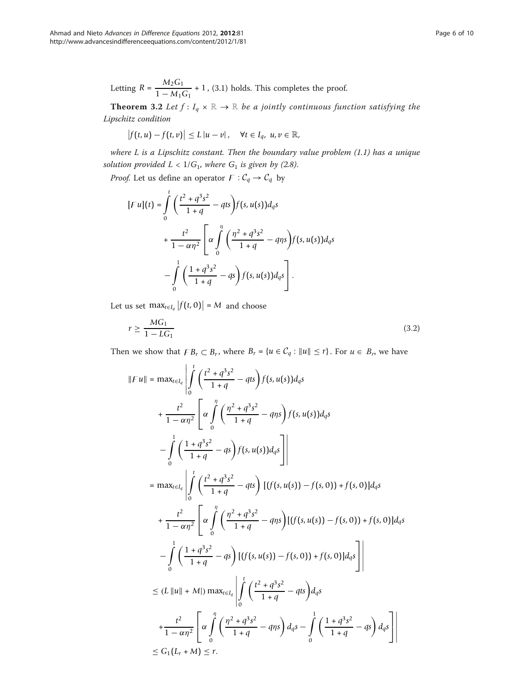Letting 
$$
R = \frac{M_2 G_1}{1 - M_1 G_1} + 1
$$
, (3.1) holds. This completes the proof.

**Theorem 3.2** Let  $f: I_q \times \mathbb{R} \to \mathbb{R}$  be a jointly continuous function satisfying the Lipschitz condition

$$
\left|f(t,u)-f(t,v)\right|\leq L\left|u-v\right|,\quad\forall t\in I_q,\ u,v\in\mathbb{R},
$$

where  $L$  is a Lipschitz constant. Then the boundary value problem  $(1.1)$  has a unique solution provided  $L < 1/G_1$ , where  $G_1$  is given by (2.8).

*Proof.* Let us define an operator  $F : C_q \to C_q$  by

$$
[Fu](t) = \int_{0}^{t} \left( \frac{t^2 + q^3 s^2}{1 + q} - qts \right) f(s, u(s)) d_q s
$$
  
+ 
$$
\frac{t^2}{1 - \alpha \eta^2} \left[ \alpha \int_{0}^{\eta} \left( \frac{\eta^2 + q^3 s^2}{1 + q} - q\eta s \right) f(s, u(s)) d_q s - \int_{0}^{1} \left( \frac{1 + q^3 s^2}{1 + q} - qs \right) f(s, u(s)) d_q s \right].
$$

Let us set  $\max_{t \in I_q} |f(t, 0)| = M$  and choose

$$
r \ge \frac{MG_1}{1 - LG_1} \tag{3.2}
$$

Then we show that  $FB_r \subset B_r$ , where  $B_r = \{u \in C_q : ||u|| \leq r\}$ . For  $u \in B_r$ , we have

$$
||Fu|| = \max_{t \in I_q} \left| \int_0^t \left( \frac{t^2 + q^3 s^2}{1 + q} - qts \right) f(s, u(s)) d_q s
$$
  
+ 
$$
\frac{t^2}{1 - \alpha \eta^2} \left[ \alpha \int_0^{\eta} \left( \frac{\eta^2 + q^3 s^2}{1 + q} - q\eta s \right) f(s, u(s)) d_q s \right]
$$
  
- 
$$
\int_0^1 \left( \frac{1 + q^3 s^2}{1 + q} - qs \right) f(s, u(s)) d_q s \right]
$$
  
= 
$$
\max_{t \in I_q} \left| \int_0^t \left( \frac{t^2 + q^3 s^2}{1 + q} - qts \right) \left[ (f(s, u(s)) - f(s, 0)) + f(s, 0) \right] d_q s \right|
$$
  
+ 
$$
\frac{t^2}{1 - \alpha \eta^2} \left[ \alpha \int_0^{\eta} \left( \frac{\eta^2 + q^3 s^2}{1 + q} - q\eta s \right) \left[ (f(s, u(s)) - f(s, 0)) + f(s, 0) \right] d_q s \right]
$$
  
- 
$$
\int_0^1 \left( \frac{1 + q^3 s^2}{1 + q} - qs \right) \left[ (f(s, u(s)) - f(s, 0)) + f(s, 0) \right] d_q s \right]
$$
  

$$
\le (L ||u|| + M |) \max_{t \in I_q} \left| \int_0^t \left( \frac{t^2 + q^3 s^2}{1 + q} - qts \right) d_q s
$$
  
+ 
$$
\frac{t^2}{1 - \alpha \eta^2} \left[ \alpha \int_0^{\eta} \left( \frac{\eta^2 + q^3 s^2}{1 + q} - q\eta s \right) d_q s - \int_0^1 \left( \frac{1 + q^3 s^2}{1 + q} - qs \right) d_q s \right]
$$
  

$$
\le G_1 (L_f + M) \le r.
$$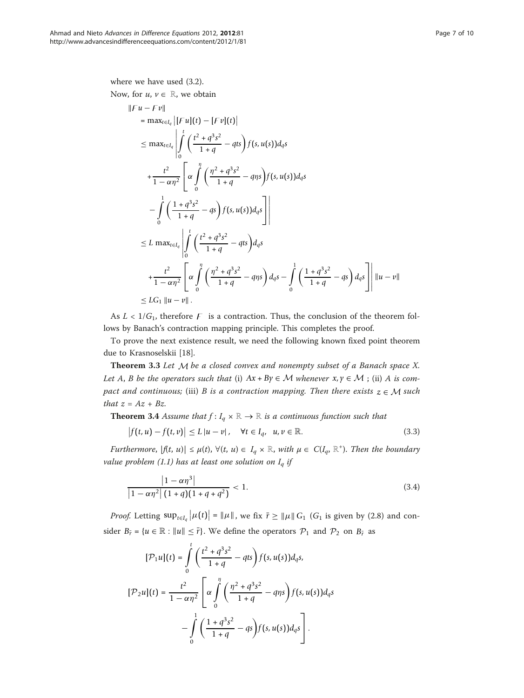where we have used (3.2). Now, for  $u, v \in \mathbb{R}$ , we obtain

$$
||Fu - Fu||
$$
  
\n
$$
= \max_{t \in I_q} |[Fu](t) - [Fu](t)|
$$
  
\n
$$
\leq \max_{t \in I_q} \left| \int_0^t \left( \frac{t^2 + q^3 s^2}{1 + q} - qts \right) f(s, u(s)) d_q s \right|
$$
  
\n
$$
+ \frac{t^2}{1 - \alpha \eta^2} \left[ \alpha \int_0^{\eta} \left( \frac{\eta^2 + q^3 s^2}{1 + q} - q\eta s \right) f(s, u(s)) d_q s \right|
$$
  
\n
$$
- \int_0^1 \left( \frac{1 + q^3 s^2}{1 + q} - qs \right) f(s, u(s)) d_q s \right|
$$
  
\n
$$
\leq L \max_{t \in I_q} \left| \int_0^t \left( \frac{t^2 + q^3 s^2}{1 + q} - qts \right) d_q s
$$
  
\n
$$
+ \frac{t^2}{1 - \alpha \eta^2} \left[ \alpha \int_0^{\eta} \left( \frac{\eta^2 + q^3 s^2}{1 + q} - q\eta s \right) d_q s - \int_0^1 \left( \frac{1 + q^3 s^2}{1 + q} - qs \right) d_q s \right] ||u - v||
$$
  
\n
$$
\leq LC_1 ||u - v||.
$$

As  $L < 1/G_1$ , therefore F is a contraction. Thus, the conclusion of the theorem follows by Banach's contraction mapping principle. This completes the proof.

To prove the next existence result, we need the following known fixed point theorem due to Krasnoselskii [[18\]](#page-9-0).

Theorem 3.3 Let *M* be a closed convex and nonempty subset of a Banach space X. Let A, B be the operators such that (i)  $Ax + By \in M$  whenever  $x, y \in M$ ; (ii) A is compact and continuous; (iii) B is a contraction mapping. Then there exists  $z \in M$  such that  $z = Az + Bz$ .

**Theorem 3.4** Assume that  $f: I_q \times \mathbb{R} \to \mathbb{R}$  is a continuous function such that

$$
\left|f(t,u)-f(t,v)\right|\leq L\left|u-v\right|,\quad\forall t\in I_q,\ \ u,v\in\mathbb{R}.\tag{3.3}
$$

Furthermore,  $|f(t, u)| \leq \mu(t)$ ,  $\forall (t, u) \in I_q \times \mathbb{R}$ , with  $\mu \in C(I_q, \mathbb{R}^+)$ . Then the boundary value problem (1.1) has at least one solution on  $I_q$  if

$$
\frac{|1 - \alpha \eta^3|}{|1 - \alpha \eta^2| (1 + q)(1 + q + q^2)} < 1.
$$
\n(3.4)

*Proof.* Letting  $\sup_{t \in I_q} |\mu(t)| = ||\mu||$ , we fix  $\bar{r} \ge ||\mu|| G_1$  ( $G_1$  is given by (2.8) and consider  $B_{\bar{r}} = \{u \in \mathbb{R} : ||u|| \leq \bar{r}\}\$ . We define the operators  $\mathcal{P}_1$  and  $\mathcal{P}_2$  on  $B_{\bar{r}}$  as

$$
[\mathcal{P}_1 u](t) = \int_0^t \left( \frac{t^2 + q^3 s^2}{1 + q} - qts \right) f(s, u(s)) d_q s,
$$
  

$$
[\mathcal{P}_2 u](t) = \frac{t^2}{1 - \alpha \eta^2} \left[ \alpha \int_0^{\eta} \left( \frac{\eta^2 + q^3 s^2}{1 + q} - q\eta s \right) f(s, u(s)) d_q s - \int_0^1 \left( \frac{1 + q^3 s^2}{1 + q} - qs \right) f(s, u(s)) d_q s \right].
$$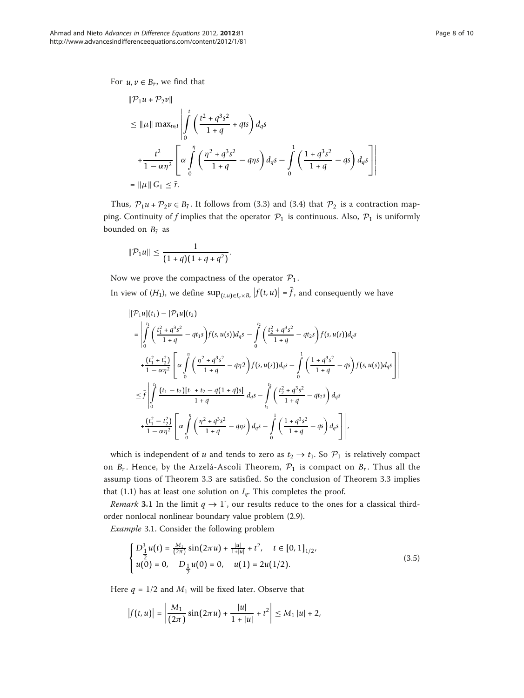For  $u, v \in B_{\tilde{r}}$ , we find that

$$
\|P_1 u + P_2 v\|
$$
  
\n
$$
\leq \|\mu\| \max_{t \in I} \left| \int_0^t \left( \frac{t^2 + q^3 s^2}{1 + q} + q t s \right) d_q s \right|
$$
  
\n
$$
+ \frac{t^2}{1 - \alpha \eta^2} \left[ \alpha \int_0^{\eta} \left( \frac{\eta^2 + q^3 s^2}{1 + q} - q \eta s \right) d_q s - \int_0^1 \left( \frac{1 + q^3 s^2}{1 + q} - q s \right) d_q s \right] \right|
$$
  
\n
$$
= \|\mu\| G_1 \leq \bar{r}.
$$

Thus,  $\mathcal{P}_1 u + \mathcal{P}_2 v \in B_{\bar{r}}$ . It follows from (3.3) and (3.4) that  $\mathcal{P}_2$  is a contraction mapping. Continuity of f implies that the operator  $P_1$  is continuous. Also,  $P_1$  is uniformly bounded on  $B_{\bar{r}}$  as

$$
\|\mathcal{P}_1 u\| \leq \frac{1}{(1+q)(1+q+q^2)}.
$$

Now we prove the compactness of the operator  $P_1$ .

In view of  $(H_1)$ , we define  $\sup_{(t,u)\in I_q\times B_r} |f(t,u)| = f$ , and consequently we have

$$
\begin{split}\n\left|\left[\mathcal{P}_{1}u\right](t_{1}) - \left[\mathcal{P}_{1}u\right](t_{2})\right| \\
&= \left|\int_{0}^{t_{1}} \left(\frac{t_{1}^{2} + q^{3}s^{2}}{1 + q} - qt_{1}s\right) f(s, u(s)) d_{q}s - \int_{0}^{t_{2}} \left(\frac{t_{2}^{2} + q^{3}s^{2}}{1 + q} - qt_{2}s\right) f(s, u(s)) d_{q}s \right| \\
&+ \frac{\left(t_{1}^{2} + t_{2}^{2}\right)}{1 - \alpha\eta^{2}} \left[\alpha \int_{0}^{\eta} \left(\frac{\eta^{2} + q^{3}s^{2}}{1 + q} - q\eta^{2}\right) f(s, u(s)) d_{q}s - \int_{0}^{1} \left(\frac{1 + q^{3}s^{2}}{1 + q} - qs\right) f(s, u(s)) d_{q}s\right]\right| \\
&\leq \bar{f} \left|\int_{0}^{t_{1}} \frac{(t_{1} - t_{2})[t_{1} + t_{2} - q(1 + q)s]}{1 + q} d_{q}s - \int_{t_{1}}^{t_{2}} \left(\frac{t_{2}^{2} + q^{3}s^{2}}{1 + q} - qt_{2}s\right) d_{q}s \right| \\
&+ \frac{\left(t_{1}^{2} - t_{2}^{2}\right)}{1 - \alpha\eta^{2}} \left[\alpha \int_{0}^{\eta} \left(\frac{\eta^{2} + q^{3}s^{2}}{1 + q} - q\eta s\right) d_{q}s - \int_{0}^{1} \left(\frac{1 + q^{3}s^{2}}{1 + q} - qs\right) d_{q}s\right]\right|, \n\end{split}
$$

which is independent of u and tends to zero as  $t_2 \rightarrow t_1$ . So  $\mathcal{P}_1$  is relatively compact on  $B_{\bar{r}}$ . Hence, by the Arzelá-Ascoli Theorem,  $\mathcal{P}_1$  is compact on  $B_{\bar{r}}$ . Thus all the assump tions of Theorem 3.3 are satisfied. So the conclusion of Theorem 3.3 implies that (1.1) has at least one solution on  $I_q$ . This completes the proof.

Remark 3.1 In the limit  $q \to 1$ , our results reduce to the ones for a classical thirdorder nonlocal nonlinear boundary value problem (2.9).

Example 3.1. Consider the following problem

$$
\begin{cases}\nD_{\frac{1}{2}}^{3}u(t) = \frac{M_{1}}{(2\pi)}\sin(2\pi u) + \frac{|u|}{1+|u|} + t^{2}, & t \in [0,1]_{1/2}, \\
u(0) = 0, & D_{\frac{1}{2}}u(0) = 0, \quad u(1) = 2u(1/2).\n\end{cases}
$$
\n(3.5)

Here  $q = 1/2$  and  $M_1$  will be fixed later. Observe that

$$
\left|f(t,u)\right| = \left|\frac{M_1}{(2\pi)}\sin(2\pi u) + \frac{|u|}{1+|u|} + t^2\right| \le M_1 \left|u\right| + 2,
$$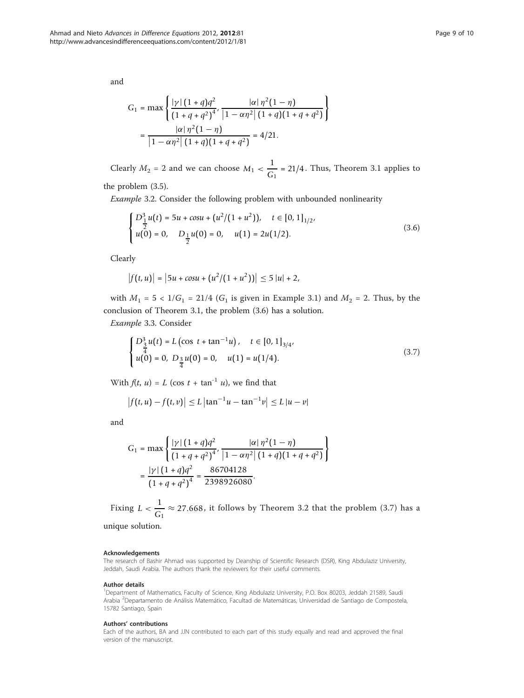and

$$
G_1 = \max \left\{ \frac{|\gamma| \left(1+q\right) q^2}{\left(1+q+q^2\right)^{4}}, \frac{|\alpha| \eta^2 (1-\eta)}{\left|1-\alpha \eta^2\right| \left(1+q\right) \left(1+q+q^2\right)} \right\}
$$

$$
= \frac{|\alpha| \eta^2 (1-\eta)}{\left|1-\alpha \eta^2\right| \left(1+q\right) \left(1+q+q^2\right)} = 4/21.
$$

Clearly  $M_2 = 2$  and we can choose  $M_1 < \frac{1}{G_1} = 21/4$ . Thus, Theorem 3.1 applies to

the problem (3.5).

Example 3.2. Consider the following problem with unbounded nonlinearity

$$
\begin{cases}\nD_{\frac{1}{2}}^{3}u(t) = 5u + \cos u + (u^{2}/(1+u^{2})), & t \in [0,1]_{1/2}, \\
u(0) = 0, & D_{\frac{1}{2}}u(0) = 0, \quad u(1) = 2u(1/2).\n\end{cases}
$$
\n(3.6)

Clearly

$$
\left|f(t,u)\right| = \left|5u + \cos u + \left(u^2/(1+u^2)\right)\right| \le 5 |u| + 2,
$$

with  $M_1 = 5 < 1/G_1 = 21/4$  ( $G_1$  is given in Example 3.1) and  $M_2 = 2$ . Thus, by the conclusion of Theorem 3.1, the problem (3.6) has a solution.

Example 3.3. Consider

$$
\begin{cases}\nD_{\frac{3}{4}}^{3}u(t) = L\left(\cos t + \tan^{-1} u\right), & t \in [0, 1]_{3/4}, \\
u(0) = 0, & D_{\frac{3}{4}}u(0) = 0, \quad u(1) = u(1/4).\n\end{cases}
$$
\n(3.7)

With  $f(t, u) = L (\cos t + \tan^{-1} u)$ , we find that

$$
|f(t, u) - f(t, v)| \le L |\tan^{-1} u - \tan^{-1} v| \le L |u - v|
$$

and

$$
G_1 = \max \left\{ \frac{|\gamma| \left(1+q\right) q^2}{\left(1+q+q^2\right)^{4}}, \frac{|\alpha| \eta^2 (1-\eta)}{\left|1-\alpha \eta^2\right| \left(1+q\right) \left(1+q+q^2\right)} \right\}
$$

$$
= \frac{|\gamma| \left(1+q\right) q^2}{\left(1+q+q^2\right)^{4}} = \frac{86704128}{2398926080}.
$$

Fixing  $L < \frac{1}{G_1} \approx 27.668$ , it follows by Theorem 3.2 that the problem (3.7) has a

unique solution.

#### Acknowledgements

The research of Bashir Ahmad was supported by Deanship of Scientific Research (DSR), King Abdulaziz University, Jeddah, Saudi Arabia. The authors thank the reviewers for their useful comments.

#### Author details

<sup>1</sup>Department of Mathematics, Faculty of Science, King Abdulaziz University, P.O. Box 80203, Jeddah 21589, Saudi Arabia <sup>2</sup>Departamento de Análisis Matemático, Facultad de Matemáticas, Universidad de Santiago de Compostela 15782 Santiago, Spain

#### Authors' contributions

Each of the authors, BA and JJN contributed to each part of this study equally and read and approved the final version of the manuscript.